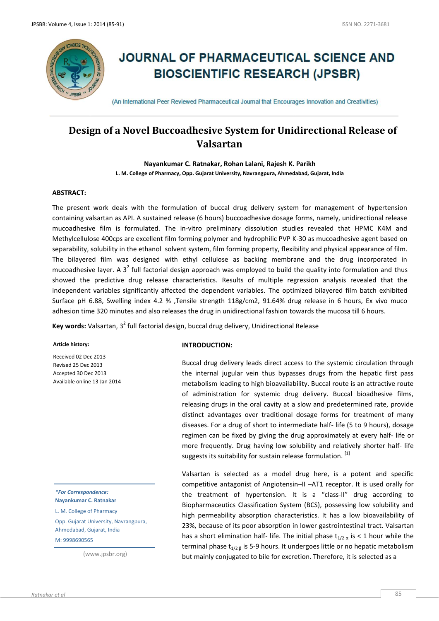

# **JOURNAL OF PHARMACEUTICAL SCIENCE AND BIOSCIENTIFIC RESEARCH (JPSBR)**

(An International Peer Reviewed Pharmaceutical Journal that Encourages Innovation and Creativities)

# **Design of a Novel Buccoadhesive System for Unidirectional Release of Valsartan**

**Nayankumar C. Ratnakar, Rohan Lalani, Rajesh K. Parikh L. M. College of Pharmacy, Opp. Gujarat University, Navrangpura, Ahmedabad, Gujarat, India**

# **ABSTRACT:**

The present work deals with the formulation of buccal drug delivery system for management of hypertension containing valsartan as API. A sustained release (6 hours) buccoadhesive dosage forms, namely, unidirectional release mucoadhesive film is formulated. The in-vitro preliminary dissolution studies revealed that HPMC K4M and Methylcellulose 400cps are excellent film forming polymer and hydrophilic PVP K-30 as mucoadhesive agent based on separability, solubility in the ethanol solvent system, film forming property, flexibility and physical appearance of film. The bilayered film was designed with ethyl cellulose as backing membrane and the drug incorporated in mucoadhesive layer. A 3<sup>2</sup> full factorial design approach was employed to build the quality into formulation and thus showed the predictive drug release characteristics. Results of multiple regression analysis revealed that the independent variables significantly affected the dependent variables. The optimized bilayered film batch exhibited Surface pH 6.88, Swelling index 4.2 % ,Tensile strength 118g/cm2, 91.64% drug release in 6 hours, Ex vivo muco adhesion time 320 minutes and also releases the drug in unidirectional fashion towards the mucosa till 6 hours.

**Key words:** Valsartan, 3<sup>2</sup> full factorial design, buccal drug delivery, Unidirectional Release

# **Article history:**

Received 02 Dec 2013 Revised 25 Dec 2013 Accepted 30 Dec 2013 Available online 13 Jan 2014

*\*For Correspondence:* **Nayankumar C. Ratnakar** L. M. College of Pharmacy Opp. Gujarat University, Navrangpura, Ahmedabad, Gujarat, India M: 9998690565

(www.jpsbr.org)

# **INTRODUCTION:**

Buccal drug delivery leads direct access to the systemic circulation through the internal jugular vein thus bypasses drugs from the hepatic first pass metabolism leading to high bioavailability. Buccal route is an attractive route of administration for systemic drug delivery. Buccal bioadhesive films, releasing drugs in the oral cavity at a slow and predetermined rate, provide distinct advantages over traditional dosage forms for treatment of many diseases. For a drug of short to intermediate half- life (5 to 9 hours), dosage regimen can be fixed by giving the drug approximately at every half- life or more frequently. Drug having low solubility and relatively shorter half- life suggests its suitability for sustain release formulation. [1]

Valsartan is selected as a model drug here, is a potent and specific competitive antagonist of Angiotensin–II –AT1 receptor. It is used orally for the treatment of hypertension. It is a "class-II" drug according to Biopharmaceutics Classification System (BCS), possessing low solubility and high permeability absorption characteristics. It has a low bioavailability of 23%, because of its poor absorption in lower gastrointestinal tract. Valsartan has a short elimination half- life. The initial phase  $t_{1/2 \alpha}$  is < 1 hour while the terminal phase  $t_{1/2, 8}$  is 5-9 hours. It undergoes little or no hepatic metabolism but mainly conjugated to bile for excretion. Therefore, it is selected as a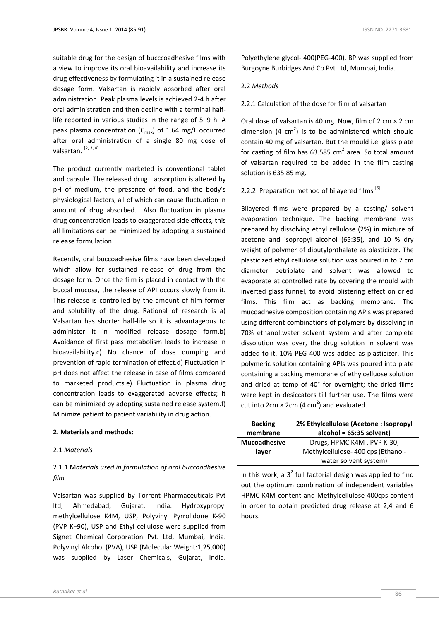suitable drug for the design of bucccoadhesive films with a view to improve its oral bioavailability and increase its drug effectiveness by formulating it in a sustained release dosage form. Valsartan is rapidly absorbed after oral administration. Peak plasma levels is achieved 2-4 h after oral administration and then decline with a terminal halflife reported in various studies in the range of 5–9 h. A peak plasma concentration  $(C_{\text{max}})$  of 1.64 mg/L occurred after oral administration of a single 80 mg dose of valsartan. [2, 3, 4]

The product currently marketed is conventional tablet and capsule. The released drug absorption is altered by pH of medium, the presence of food, and the body's physiological factors, all of which can cause fluctuation in amount of drug absorbed. Also fluctuation in plasma drug concentration leads to exaggerated side effects, this all limitations can be minimized by adopting a sustained release formulation.

Recently, oral buccoadhesive films have been developed which allow for sustained release of drug from the dosage form. Once the film is placed in contact with the buccal mucosa, the release of API occurs slowly from it. This release is controlled by the amount of film former and solubility of the drug. Rational of research is a) Valsartan has shorter half-life so it is advantageous to administer it in modified release dosage form.b) Avoidance of first pass metabolism leads to increase in bioavailability.c) No chance of dose dumping and prevention of rapid termination of effect.d) Fluctuation in pH does not affect the release in case of films compared to marketed products.e) Fluctuation in plasma drug concentration leads to exaggerated adverse effects; it can be minimized by adopting sustained release system.f) Minimize patient to patient variability in drug action.

# **2. Materials and methods:**

# 2.1 *Materials*

# 2.1.1 M*aterials used in formulation of oral buccoadhesive film*

Valsartan was supplied by Torrent Pharmaceuticals Pvt ltd, Ahmedabad, Gujarat, India. Hydroxypropyl methylcellulose K4M, USP, Polyvinyl Pyrrolidone K-90 (PVP K−90), USP and Ethyl cellulose were supplied from Signet Chemical Corporation Pvt. Ltd, Mumbai, India. Polyvinyl Alcohol (PVA), USP (Molecular Weight:1,25,000) was supplied by Laser Chemicals, Gujarat, India.

Polyethylene glycol- 400(PEG-400), BP was supplied from Burgoyne Burbidges And Co Pvt Ltd, Mumbai, India.

# 2.2 *Methods*

2.2.1 Calculation of the dose for film of valsartan

Oral dose of valsartan is 40 mg. Now, film of 2 cm  $\times$  2 cm dimension  $(4 \text{ cm}^2)$  is to be administered which should contain 40 mg of valsartan. But the mould i.e. glass plate for casting of film has  $63.585$  cm<sup>2</sup> area. So total amount of valsartan required to be added in the film casting solution is 635.85 mg.

2.2.2 Preparation method of bilayered films  $^{[5]}$ 

Bilayered films were prepared by a casting/ solvent evaporation technique. The backing membrane was prepared by dissolving ethyl cellulose (2%) in mixture of acetone and isopropyl alcohol (65:35), and 10 % dry weight of polymer of dibutylphthalate as plasticizer. The plasticized ethyl cellulose solution was poured in to 7 cm diameter petriplate and solvent was allowed to evaporate at controlled rate by covering the mould with inverted glass funnel, to avoid blistering effect on dried films. This film act as backing membrane. The mucoadhesive composition containing APIs was prepared using different combinations of polymers by dissolving in 70% ethanol:water solvent system and after complete dissolution was over, the drug solution in solvent was added to it. 10% PEG 400 was added as plasticizer. This polymeric solution containing APIs was poured into plate containing a backing membrane of ethylcelluose solution and dried at temp of 40° for overnight; the dried films were kept in desiccators till further use. The films were cut into 2cm  $\times$  2cm (4 cm<sup>2</sup>) and evaluated.

| <b>Backing</b>      | 2% Ethylcellulose (Acetone: Isopropyl |  |  |
|---------------------|---------------------------------------|--|--|
| membrane            | $alcohol = 65:35 solvent)$            |  |  |
| <b>Mucoadhesive</b> | Drugs, HPMC K4M, PVP K-30,            |  |  |
| layer               | Methylcellulose-400 cps (Ethanol-     |  |  |
|                     | water solvent system)                 |  |  |

In this work, a  $3^2$  full factorial design was applied to find out the optimum combination of independent variables HPMC K4M content and Methylcellulose 400cps content in order to obtain predicted drug release at 2,4 and 6 hours.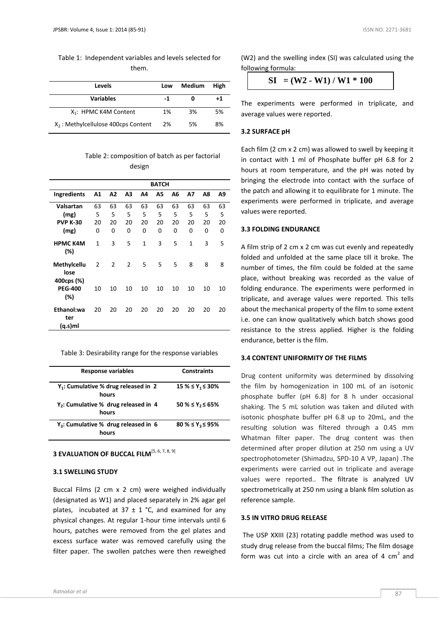Table 1: Independent variables and levels selected for them.

| <b>Levels</b>                         | Low | Medium | High |
|---------------------------------------|-----|--------|------|
| <b>Variables</b>                      | -1  | ŋ      | +1   |
| X <sub>1</sub> : HPMC K4M Content     | 1%  | 3%     | 5%   |
| $X2$ : Methylcellulose 400cps Content | 2%  | 5%     | 8%   |

Table 2: composition of batch as per factorial design

|                                   | BATCH          |    |    |              |    |    |              |    |    |
|-----------------------------------|----------------|----|----|--------------|----|----|--------------|----|----|
| Ingredients                       | Α1             | A2 | А3 | Α4           | Α5 | A6 | Α7           | Α8 | A9 |
| Valsartan                         | 63             | 63 | 63 | 63           | 63 | 63 | 63           | 63 | 63 |
| (mg)                              | 5              | 5  | 5  | 5            | 5  | 5  | 5            | 5  | 5  |
| <b>PVP K-30</b>                   | 20             | 20 | 20 | 20           | 20 | 20 | 20           | 20 | 20 |
| (mg)                              | 0              | 0  | 0  | 0            | 0  | 0  | 0            | 0  | 0  |
| <b>HPMC K4M</b><br>(%)            | $\mathbf{1}$   | 3  | 5  | $\mathbf{1}$ | 3  | 5  | $\mathbf{1}$ | 3  | 5  |
| Methylcellu<br>lose<br>400cps (%) | $\overline{2}$ | 2  | 2  | 5            | 5  | 5  | 8            | 8  | 8  |
| <b>PEG-400</b><br>(%)             | 10             | 10 | 10 | 10           | 10 | 10 | 10           | 10 | 10 |
| Ethanol:wa<br>ter<br>(q.s)ml      | 20             | 20 | 20 | 20           | 20 | 20 | 20           | 20 | 20 |

Table 3: Desirability range for the response variables

| <b>Response variables</b>                        | <b>Constraints</b>      |
|--------------------------------------------------|-------------------------|
| $Y_1$ : Cumulative % drug released in 2<br>hours | $15\% \le Y_1 \le 30\%$ |
| $Y_2$ : Cumulative % drug released in 4<br>hours | $50 \% \le Y_2 \le 65%$ |
| $Y_3$ : Cumulative % drug released in 6<br>hours | $80 \% \le Y_3 \le 95%$ |

# **3 EVALUATION OF BUCCAL FILM**<sup>[5, 6, 7, 8, 9]</sup>

# **3.1 SWELLING STUDY**

Buccal Films (2 cm x 2 cm) were weighed individually (designated as W1) and placed separately in 2% agar gel plates, incubated at 37  $\pm$  1 °C, and examined for any physical changes. At regular 1-hour time intervals until 6 hours, patches were removed from the gel plates and excess surface water was removed carefully using the filter paper. The swollen patches were then reweighed

(W2) and the swelling index (SI) was calculated using the following formula:

 $SI = (W2 - W1) / W1 * 100$ 

The experiments were performed in triplicate, and average values were reported.

#### **3.2 SURFACE pH**

Each film (2 cm x 2 cm) was allowed to swell by keeping it in contact with 1 ml of Phosphate buffer pH 6.8 for 2 hours at room temperature, and the pH was noted by bringing the electrode into contact with the surface of the patch and allowing it to equilibrate for 1 minute. The experiments were performed in triplicate, and average values were reported.

# **3.3 FOLDING ENDURANCE**

A film strip of 2 cm x 2 cm was cut evenly and repeatedly folded and unfolded at the same place till it broke. The number of times, the film could be folded at the same place, without breaking was recorded as the value of folding endurance. The experiments were performed in triplicate, and average values were reported. This tells about the mechanical property of the film to some extent i.e. one can know qualitatively which batch shows good resistance to the stress applied. Higher is the folding endurance, better is the film.

# **3.4 CONTENT UNIFORMITY OF THE FILMS**

Drug content uniformity was determined by dissolving the film by homogenization in 100 mL of an isotonic phosphate buffer (pH 6.8) for 8 h under occasional shaking. The 5 mL solution was taken and diluted with isotonic phosphate buffer pH 6.8 up to 20mL, and the resulting solution was filtered through a 0.45 mm Whatman filter paper. The drug content was then determined after proper dilution at 250 nm using a UV spectrophotometer (Shimadzu, SPD-10 A VP, Japan) .The experiments were carried out in triplicate and average values were reported.. The filtrate is analyzed UV spectrometrically at 250 nm using a blank film solution as reference sample.

#### **3.5 IN VITRO DRUG RELEASE**

The USP XXIII (23) rotating paddle method was used to study drug release from the buccal films; The film dosage form was cut into a circle with an area of 4  $cm<sup>2</sup>$  and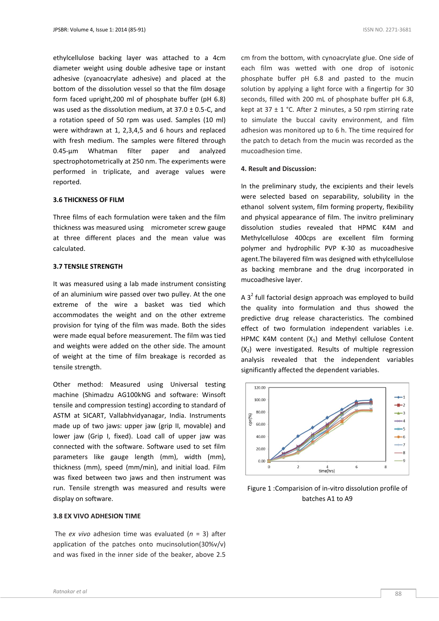ethylcellulose backing layer was attached to a 4cm diameter weight using double adhesive tape or instant adhesive (cyanoacrylate adhesive) and placed at the bottom of the dissolution vessel so that the film dosage form faced upright,200 ml of phosphate buffer (pH 6.8) was used as the dissolution medium, at  $37.0 \pm 0.5$ -C, and a rotation speed of 50 rpm was used. Samples (10 ml) were withdrawn at 1, 2,3,4,5 and 6 hours and replaced with fresh medium. The samples were filtered through 0.45-μm Whatman filter paper and analyzed spectrophotometrically at 250 nm. The experiments were performed in triplicate, and average values were reported.

# **3.6 THICKNESS OF FILM**

Three films of each formulation were taken and the film thickness was measured using micrometer screw gauge at three different places and the mean value was calculated.

# **3.7 TENSILE STRENGTH**

It was measured using a lab made instrument consisting of an aluminium wire passed over two pulley. At the one extreme of the wire a basket was tied which accommodates the weight and on the other extreme provision for tying of the film was made. Both the sides were made equal before measurement. The film was tied and weights were added on the other side. The amount of weight at the time of film breakage is recorded as tensile strength.

Other method: Measured using Universal testing machine (Shimadzu AG100kNG and software: Winsoft tensile and compression testing) according to standard of ASTM at SICART, Vallabhvidyanagar, India. Instruments made up of two jaws: upper jaw (grip II, movable) and lower jaw (Grip I, fixed). Load call of upper jaw was connected with the software. Software used to set film parameters like gauge length (mm), width (mm), thickness (mm), speed (mm/min), and initial load. Film was fixed between two jaws and then instrument was run. Tensile strength was measured and results were display on software.

# **3.8 EX VIVO ADHESION TIME**

The *ex vivo* adhesion time was evaluated (*n* = 3) after application of the patches onto mucinsolution(30%v/v) and was fixed in the inner side of the beaker, above 2.5 cm from the bottom, with cynoacrylate glue. One side of each film was wetted with one drop of isotonic phosphate buffer pH 6.8 and pasted to the mucin solution by applying a light force with a fingertip for 30 seconds, filled with 200 mL of phosphate buffer pH 6.8, kept at  $37 \pm 1$  °C. After 2 minutes, a 50 rpm stirring rate to simulate the buccal cavity environment, and film adhesion was monitored up to 6 h. The time required for the patch to detach from the mucin was recorded as the mucoadhesion time.

# **4. Result and Discussion:**

In the preliminary study, the excipients and their levels were selected based on separability, solubility in the ethanol solvent system, film forming property, flexibility and physical appearance of film. The invitro preliminary dissolution studies revealed that HPMC K4M and Methylcellulose 400cps are excellent film forming polymer and hydrophilic PVP K-30 as mucoadhesive agent.The bilayered film was designed with ethylcellulose as backing membrane and the drug incorporated in mucoadhesive layer.

A  $3<sup>2</sup>$  full factorial design approach was employed to build the quality into formulation and thus showed the predictive drug release characteristics. The combined effect of two formulation independent variables i.e. HPMC K4M content  $(X_1)$  and Methyl cellulose Content  $(X_2)$  were investigated. Results of multiple regression analysis revealed that the independent variables significantly affected the dependent variables.



Figure 1 :Comparision of in-vitro dissolution profile of batches A1 to A9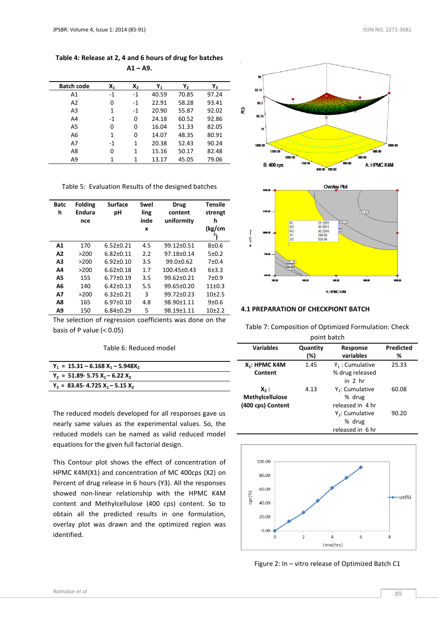# **Table 4: Release at 2, 4 and 6 hours of drug for batches A1 – A9.**

| <b>Batch code</b> | Х,   | $X_2$ | Υ,    | γ,    | Υ <sub>3</sub> |
|-------------------|------|-------|-------|-------|----------------|
| A1                | $-1$ | $-1$  | 40.59 | 70.85 | 97.24          |
| A2                | 0    | $-1$  | 22.91 | 58.28 | 93.41          |
| A <sub>3</sub>    | 1    | $-1$  | 20.90 | 55.87 | 92.02          |
| A4                | $-1$ | 0     | 24.18 | 60.52 | 92.86          |
| A5                | 0    | 0     | 16.04 | 51.33 | 82.05          |
| A6                | 1    | 0     | 14.07 | 48.35 | 80.91          |
| A7                | $-1$ | 1     | 20.38 | 52.43 | 90.24          |
| A8                | 0    | 1     | 15.16 | 50.17 | 82.48          |
| A9                | 1    | 1     | 13.17 | 45.05 | 79.06          |

Table 5: Evaluation Results of the designed batches

| Batc<br>h | <b>Folding</b><br><b>Endura</b><br>nce | <b>Surface</b><br>рH | Swel<br>ling<br>inde<br>x | <b>Drug</b><br>content<br>uniformity | Tensile<br>strengt<br>h<br>(kg/cm<br>2 |
|-----------|----------------------------------------|----------------------|---------------------------|--------------------------------------|----------------------------------------|
| A1        | 170                                    | $6.52 \pm 0.21$      | 4.5                       | $99.12 \pm 0.51$                     | $8 + 0.6$                              |
| A2        | >200                                   | $6.82 \pm 0.11$      | 2.2                       | 97.18±0.14                           | 5±0.2                                  |
| A3        | >200                                   | $6.92 \pm 0.10$      | 3.5                       | $99.0 + 0.62$                        | $7 + 0.4$                              |
| Α4        | >200                                   | $6.62 \pm 0.18$      | 1.7                       | $100.45 \pm 0.43$                    | $6+3.3$                                |
| А5        | 155                                    | $6.77 \pm 0.19$      | 3.5                       | $99.62 \pm 0.21$                     | $7 + 0.9$                              |
| A6        | 140                                    | $6.42 \pm 0.13$      | 5.5                       | $99.65 \pm 0.20$                     | $11+0.3$                               |
| Α7        | >200                                   | $6.32 \pm 0.21$      | 3                         | 99.72+0.23                           | $10+2.5$                               |
| A8        | 165                                    | $6.97 \pm 0.10$      | 4.8                       | 98.90±1.11                           | $9+0.6$                                |
| A9        | 150                                    | $6.84 \pm 0.29$      | 5                         | 98.19±1.11                           | $10+2.2$                               |

The selection of regression coefficients was done on the basis of P value  $( $0.05$ )$ 

Table 6: Reduced model

| $Y_1 = 15.31 - 6.168 X_1 - 5.948X_2$   |
|----------------------------------------|
| $Y_2$ = 51.89- 5.75 $X_1$ – 6.22 $X_2$ |
| $Y_3 = 83.45 - 4.725 X_1 - 5.15 X_2$   |

The reduced models developed for all responses gave us nearly same values as the experimental values. So, the reduced models can be named as valid reduced model equations for the given full factorial design.

This Contour plot shows the effect of concentration of HPMC K4M(X1) and concentration of MC 400cps (X2) on Percent of drug release in 6 hours (Y3). All the responses showed non-linear relationship with the HPMC K4M content and Methylcellulose (400 cps) content. So to obtain all the predicted results in one formulation, overlay plot was drawn and the optimized region was identified.





# **4.1 PREPARATION OF CHECKPIONT BATCH**

Table 7: Composition of Optimized Formulation: Check point batch

| <b>Variables</b>  | Quantity<br>Response<br>variables<br>(%) |                    | Predicted<br>℅ |
|-------------------|------------------------------------------|--------------------|----------------|
|                   |                                          |                    |                |
| $X_1$ : HPMC K4M  | 1.45                                     | $Y_1$ : Cumulative | 25.33          |
| Content           |                                          | % drug released    |                |
|                   |                                          | in 2 hr            |                |
| X <sub>2</sub> :  | 4.13                                     | $Y_2$ : Cumulative | 60.08          |
| Methylcellulose   | % drug                                   |                    |                |
| (400 cps) Content | released in 4 hr                         |                    |                |
|                   |                                          | $Y_3$ : Cumulative | 90.20          |
|                   |                                          | % drug             |                |
|                   |                                          | released in 6 hr   |                |



Figure 2: In – vitro release of Optimized Batch C1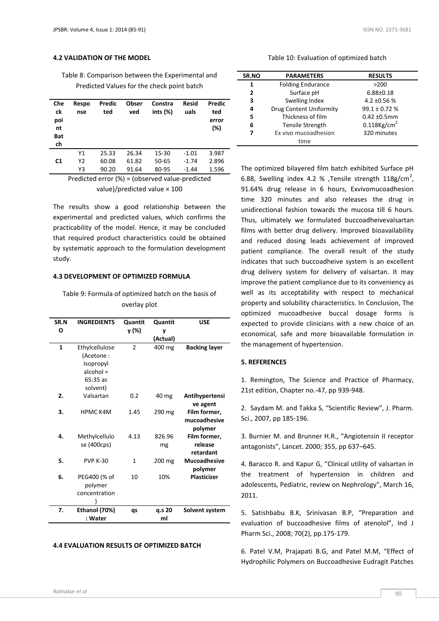# **4.2 VALIDATION OF THE MODEL**

Table 8: Comparison between the Experimental and Predicted Values for the check point batch

| Che<br>ck<br>poi<br>nt<br><b>Bat</b><br>ch | Respo<br>nse | Predic<br>ted | Obser<br>ved | Constra<br>ints $(\%)$                                      | <b>Resid</b><br>uals | Predic<br>ted<br>error<br>(%) |
|--------------------------------------------|--------------|---------------|--------------|-------------------------------------------------------------|----------------------|-------------------------------|
|                                            | Υ1           | 25.33         | 26.34        | 15-30                                                       | $-1.01$              | 3.987                         |
| C <sub>1</sub>                             | Υ2           | 60.08         | 61.82        | 50-65                                                       | $-1.74$              | 2.896                         |
|                                            | Y3           | 90.20         | 91.64        | 80-95                                                       | $-1.44$              | 1.596                         |
|                                            |              |               |              | Dreadista di super (0/)  / shasmus di usulus in pradista di |                      |                               |

Predicted error (%) = (observed value-predicted value)/predicted value × 100

The results show a good relationship between the experimental and predicted values, which confirms the practicability of the model. Hence, it may be concluded that required product characteristics could be obtained by systematic approach to the formulation development study.

#### **4.3 DEVELOPMENT OF OPTIMIZED FORMULA**

Table 9: Formula of optimized batch on the basis of overlay plot

| SR.N | <b>INGREDIENTS</b>                       | Quantit        | Quantit      | <b>USE</b>                              |
|------|------------------------------------------|----------------|--------------|-----------------------------------------|
| O    |                                          | y (%)          | ۷            |                                         |
|      |                                          |                | (Actual)     |                                         |
| 1    | Ethylcellulose<br>(Acetone:              | $\overline{2}$ | 400 mg       | <b>Backing layer</b>                    |
|      | Isopropyl<br>$alcohol =$                 |                |              |                                         |
|      | $65:35$ as<br>solvent)                   |                |              |                                         |
| 2.   | Valsartan                                | 0.2            | 40 mg        | Antihypertensi<br>ve agent              |
| 3.   | <b>HPMC K4M</b>                          | 1.45           | 290 mg       | Film former,<br>mucoadhesive<br>polymer |
| 4.   | Methylcellulo<br>se (400cps)             | 4.13           | 826.96<br>mg | Film former,<br>release<br>retardant    |
| 5.   | <b>PVP K-30</b>                          | 1              | 200 mg       | <b>Mucoadhesive</b><br>polymer          |
| 6.   | PEG400 (% of<br>polymer<br>concentration | 10             | 10%          | <b>Plasticizer</b>                      |
| 7.   | Ethanol (70%)<br>: Water                 | qs             | q.s 20<br>ml | Solvent system                          |

# **4.4 EVALUATION RESULTS OF OPTIMIZED BATCH**

#### Table 10: Evaluation of optimized batch

| SR.NO | <b>PARAMETERS</b>              | <b>RESULTS</b>             |
|-------|--------------------------------|----------------------------|
| 1     | <b>Folding Endurance</b>       | >200                       |
| 2     | Surface pH                     | $6.88 \pm 0.18$            |
| 3     | Swelling Index                 | 4.2 $\pm$ 0.56 %           |
| 4     | <b>Drug Content Uniformity</b> | $99.1 \pm 0.72$ %          |
| 5     | Thickness of film              | $0.42 \pm 0.5$ mm          |
| 6     | <b>Tensile Strength</b>        | $0.118$ Kg/cm <sup>2</sup> |
| 7     | Ex vivo mucoadhesion           | 320 minutes                |
|       | time                           |                            |

The optimized bilayered film batch exhibited Surface pH 6.88, Swelling index 4.2 % , Tensile strength  $118g/cm^2$ , 91.64% drug release in 6 hours, Exvivomucoadhesion time 320 minutes and also releases the drug in unidirectional fashion towards the mucosa till 6 hours. Thus, ultimately we formulated buccoadheivevalsartan films with better drug delivery. Improved bioavailability and reduced dosing leads achievement of improved patient compliance. The overall result of the study indicates that such buccoadheive system is an excellent drug delivery system for delivery of valsartan. It may improve the patient compliance due to its conveniency as well as its acceptability with respect to mechanical property and solubility characteristics. In Conclusion, The optimized mucoadhesive buccal dosage forms is expected to provide clinicians with a new choice of an economical, safe and more bioavailable formulation in the management of hypertension.

# **5. REFERENCES**

1. Remington, The Science and Practice of Pharmacy, 21st edition, Chapter no.-47, pp 939-948.

2. Saydam M. and Takka S, "Scientific Review", J. Pharm. Sci., 2007, pp 185-196.

3. Burnier M. and Brunner H.R., "Angiotensin II receptor antagonists", Lancet. 2000; 355, pp 637–645.

4. Baracco R. and Kapur G, "Clinical utility of valsartan in the treatment of hypertension in children and adolescents, Pediatric, review on Nephrology", March 16, 2011.

5. Satishbabu B.K, Srinivasan B.P, "Preparation and evaluation of buccoadhesive films of atenolol", Ind J Pharm Sci., 2008; 70(2), pp.175-179.

6. Patel V.M, Prajapati B.G, and Patel M.M, "Effect of Hydrophilic Polymers on Buccoadhesive Eudragit Patches